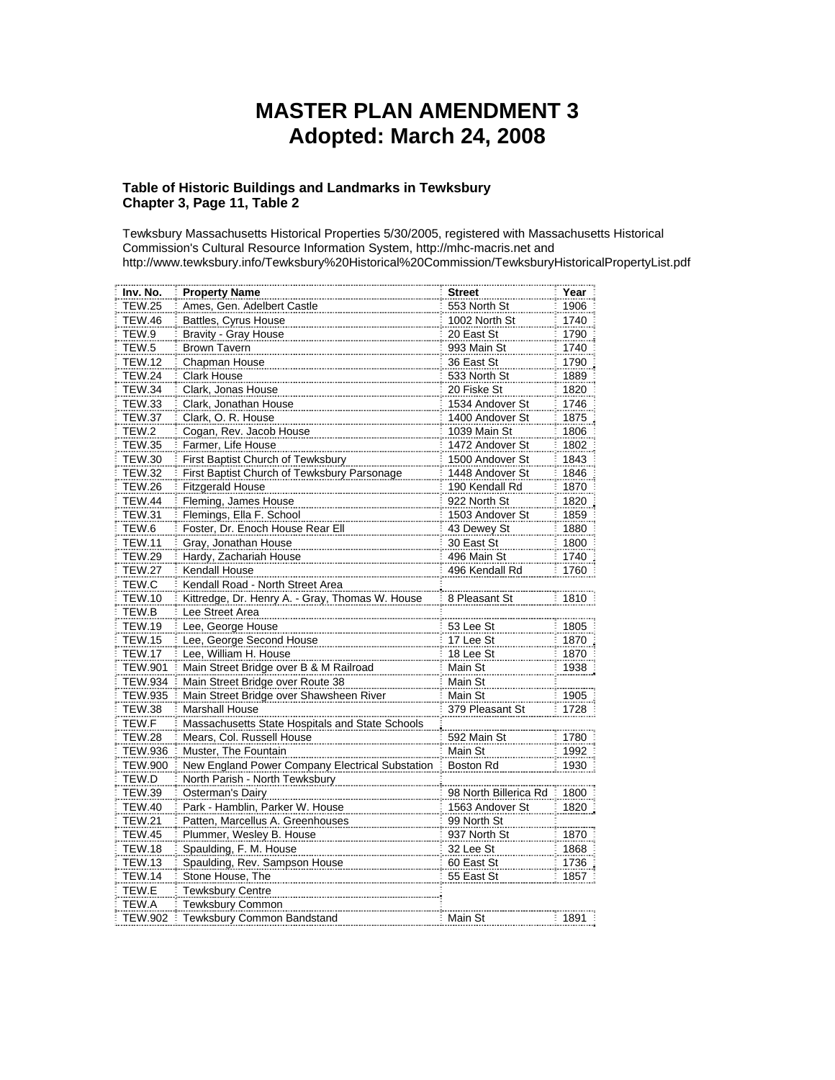## **MASTER PLAN AMENDMENT 3 Adopted: March 24, 2008**

## **Table of Historic Buildings and Landmarks in Tewksbury Chapter 3, Page 11, Table 2**

Tewksbury Massachusetts Historical Properties 5/30/2005, registered with Massachusetts Historical Commission's Cultural Resource Information System, [http://mhc-macris.net](http://mhc-macris.net/) and <http://www.tewksbury.info/Tewksbury%20Historical%20Commission/TewksburyHistoricalPropertyList.pdf>

| Inv. No.<br><b>Property Name</b><br><b>Street</b>                                 | Year |
|-----------------------------------------------------------------------------------|------|
| <b>TEW.25</b><br>Ames, Gen. Adelbert Castle<br>553 North St                       | 1906 |
| <b>TEW.46</b><br>Battles, Cyrus House<br>1002 North St                            | 1740 |
| TEW.9<br><b>Bravity - Gray House</b><br>20 East St                                | 1790 |
| TEW.5<br>993 Main St<br><b>Brown Tavern</b>                                       | 1740 |
| <b>TEW.12</b><br>Chapman House<br>36 East St                                      | 1790 |
| <b>TEW.24</b><br>Clark House<br>533 North St                                      | 1889 |
| <b>TEW.34</b><br>Clark, Jonas House<br>20 Fiske St                                | 1820 |
| Clark, Jonathan House<br>1534 Andover St<br><b>TEW.33</b>                         | 1746 |
| <b>TEW.37</b><br>Clark, O. R. House<br>1400 Andover St                            | 1875 |
| TEW.2<br>Cogan, Rev. Jacob House<br>1039 Main St                                  | 1806 |
| <b>TEW.35</b><br>Farmer, Life House<br>1472 Andover St                            | 1802 |
| <b>TEW.30</b><br>First Baptist Church of Tewksbury<br>1500 Andover St             | 1843 |
| <b>TEW.32</b><br>First Baptist Church of Tewksbury Parsonage<br>1448 Andover St   | 1846 |
| <b>TEW.26</b><br><b>Fitzgerald House</b><br>190 Kendall Rd                        | 1870 |
| <b>TEW.44</b><br>Fleming, James House<br>922 North St                             | 1820 |
| <b>TEW.31</b><br>Flemings, Ella F. School<br>1503 Andover St                      | 1859 |
| Foster, Dr. Enoch House Rear Ell<br>TEW.6<br>43 Dewey St                          | 1880 |
| <b>TEW.11</b><br>Gray, Jonathan House<br>30 East St                               | 1800 |
| <b>TEW.29</b><br>Hardy, Zachariah House<br>496 Main St                            | 1740 |
| 496 Kendall Rd<br><b>TEW.27</b><br>Kendall House                                  | 1760 |
| TEW.C<br>Kendall Road - North Street Area                                         |      |
| <b>TEW.10</b><br>Kittredge, Dr. Henry A. - Gray, Thomas W. House<br>8 Pleasant St | 1810 |
| TEW.B<br>Lee Street Area                                                          |      |
| <b>TEW.19</b><br>Lee, George House<br>53 Lee St                                   | 1805 |
| <b>TEW.15</b><br>Lee, George Second House<br>17 Lee St                            | 1870 |
| <b>TEW.17</b><br>Lee, William H. House<br>18 Lee St                               | 1870 |
| <b>TEW.901</b><br>Main Street Bridge over B & M Railroad<br>Main St               | 1938 |
| <b>TEW.934</b><br>Main Street Bridge over Route 38<br>Main St                     |      |
| <b>TEW.935</b><br>Main Street Bridge over Shawsheen River<br>Main St              | 1905 |
| <b>TEW.38</b><br><b>Marshall House</b><br>379 Pleasant St                         | 1728 |
| Massachusetts State Hospitals and State Schools<br>TEW.F                          |      |
| <b>TEW.28</b><br>Mears, Col. Russell House<br>592 Main St                         | 1780 |
| <b>TEW.936</b><br>Muster, The Fountain<br>Main St                                 | 1992 |
| New England Power Company Electrical Substation<br><b>TEW.900</b><br>Boston Rd    | 1930 |
| TEW.D<br>North Parish - North Tewksbury                                           |      |
| <b>TEW.39</b><br>Osterman's Dairy<br>98 North Billerica Rd                        | 1800 |
| <b>TEW.40</b><br>Park - Hamblin, Parker W. House<br>1563 Andover St               | 1820 |
| <b>TEW.21</b><br>Patten, Marcellus A. Greenhouses<br>99 North St                  |      |
| <b>TEW.45</b><br>Plummer, Wesley B. House<br>937 North St                         | 1870 |
| <b>TEW.18</b><br>Spaulding, F. M. House<br>32 Lee St                              | 1868 |
| Spaulding, Rev. Sampson House<br><b>TEW.13</b><br>60 East St                      | 1736 |
| <b>TEW.14</b><br>Stone House, The<br>55 East St                                   | 1857 |
| TEW.E<br><b>Tewksbury Centre</b>                                                  |      |
| TEW.A<br>Tewksbury Common                                                         |      |
| <b>TEW.902</b><br>Tewksbury Common Bandstand<br>Main St                           | 1891 |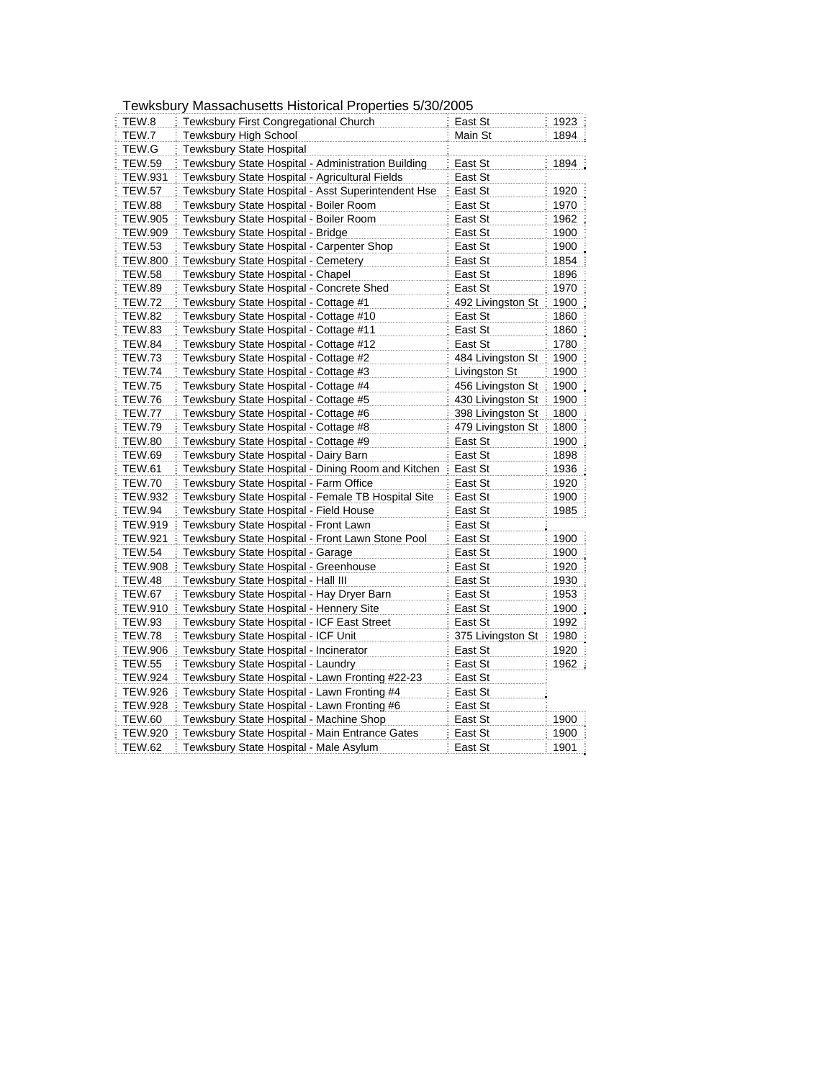|                | i cwrsbury Massachusclis i listolical FTOpchics J/J0/Z00J |                   |      |
|----------------|-----------------------------------------------------------|-------------------|------|
| TEW.8          | Tewksbury First Congregational Church                     | East St           | 1923 |
| TEW.7          | Tewksbury High School                                     | Main St           | 1894 |
| TEW.G          | <b>Tewksbury State Hospital</b>                           |                   |      |
| <b>TEW.59</b>  | Tewksbury State Hospital - Administration Building        | East St           | 1894 |
| <b>TEW.931</b> | Tewksbury State Hospital - Agricultural Fields            | East St           |      |
| <b>TEW.57</b>  | Tewksbury State Hospital - Asst Superintendent Hse        | East St           | 1920 |
| <b>TEW.88</b>  | Tewksbury State Hospital - Boiler Room                    | East St           | 1970 |
| <b>TEW.905</b> | Tewksbury State Hospital - Boiler Room                    | East St           | 1962 |
| <b>TEW.909</b> | Tewksbury State Hospital - Bridge                         | East St           | 1900 |
| TEW.53         | Tewksbury State Hospital - Carpenter Shop                 | East St           | 1900 |
| <b>TEW.800</b> | Tewksbury State Hospital - Cemetery                       | East St           | 1854 |
| TEW.58         | Tewksbury State Hospital - Chapel                         | East St           | 1896 |
| <b>TEW.89</b>  | Tewksbury State Hospital - Concrete Shed                  | East St           | 1970 |
| <b>TEW.72</b>  | Tewksbury State Hospital - Cottage #1                     | 492 Livingston St | 1900 |
| <b>TEW.82</b>  | Tewksbury State Hospital - Cottage #10                    | East St           | 1860 |
| <b>TEW.83</b>  | Tewksbury State Hospital - Cottage #11                    | East St           | 1860 |
| <b>TEW.84</b>  | Tewksbury State Hospital - Cottage #12                    | East St           | 1780 |
| <b>TEW.73</b>  | Tewksbury State Hospital - Cottage #2                     | 484 Livingston St | 1900 |
| <b>TEW.74</b>  | Tewksbury State Hospital - Cottage #3                     | Livingston St     | 1900 |
| <b>TEW.75</b>  | Tewksbury State Hospital - Cottage #4                     | 456 Livingston St | 1900 |
| <b>TEW.76</b>  | Tewksbury State Hospital - Cottage #5                     | 430 Livingston St | 1900 |
| TEW.77         | Tewksbury State Hospital - Cottage #6                     | 398 Livingston St | 1800 |
| <b>TEW.79</b>  | Tewksbury State Hospital - Cottage #8                     | 479 Livingston St | 1800 |
| <b>TEW.80</b>  | Tewksbury State Hospital - Cottage #9                     | East St           | 1900 |
| <b>TEW.69</b>  | Tewksbury State Hospital - Dairy Barn                     | East St           | 1898 |
| <b>TEW.61</b>  | Tewksbury State Hospital - Dining Room and Kitchen        | East St           | 1936 |
| <b>TEW.70</b>  | Tewksbury State Hospital - Farm Office                    | East St           | 1920 |
| <b>TEW.932</b> | Tewksbury State Hospital - Female TB Hospital Site        | East St           | 1900 |
| <b>TEW.94</b>  | Tewksbury State Hospital - Field House                    | East St           | 1985 |
| <b>TEW.919</b> | Tewksbury State Hospital - Front Lawn                     | East St           |      |
| TEW.921        | Tewksbury State Hospital - Front Lawn Stone Pool          | East St           | 1900 |
| <b>TEW.54</b>  | Tewksbury State Hospital - Garage                         | East St           | 1900 |
| <b>TEW.908</b> | Tewksbury State Hospital - Greenhouse                     | East St           | 1920 |
| <b>TEW.48</b>  | Tewksbury State Hospital - Hall III                       | East St           | 1930 |
| <b>TEW.67</b>  | Tewksbury State Hospital - Hay Dryer Barn                 | East St           | 1953 |
| TEW.910        | Tewksbury State Hospital - Hennery Site                   | East St           | 1900 |
| <b>TEW.93</b>  | Tewksbury State Hospital - ICF East Street                | East St           | 1992 |
| <b>TEW.78</b>  | Tewksbury State Hospital - ICF Unit                       | 375 Livingston St | 1980 |
| <b>TEW.906</b> | Tewksbury State Hospital - Incinerator                    | East St           | 1920 |
| <b>TEW.55</b>  | Tewksbury State Hospital - Laundry                        | East St           | 1962 |
| TEW.924        | Tewksbury State Hospital - Lawn Fronting #22-23           | East St           |      |
| <b>TEW.926</b> | Tewksbury State Hospital - Lawn Fronting #4               | East St           |      |
| TEW.928        | Tewksbury State Hospital - Lawn Fronting #6               | East St           |      |
| <b>TEW.60</b>  | Tewksbury State Hospital - Machine Shop                   | East St           | 1900 |
| TEW.920        | Tewksbury State Hospital - Main Entrance Gates            | East St           | 1900 |
| <b>TEW.62</b>  | Tewksbury State Hospital - Male Asylum                    | East St           | 1901 |

## Tewksbury Massachusetts Historical Properties 5/30/2005